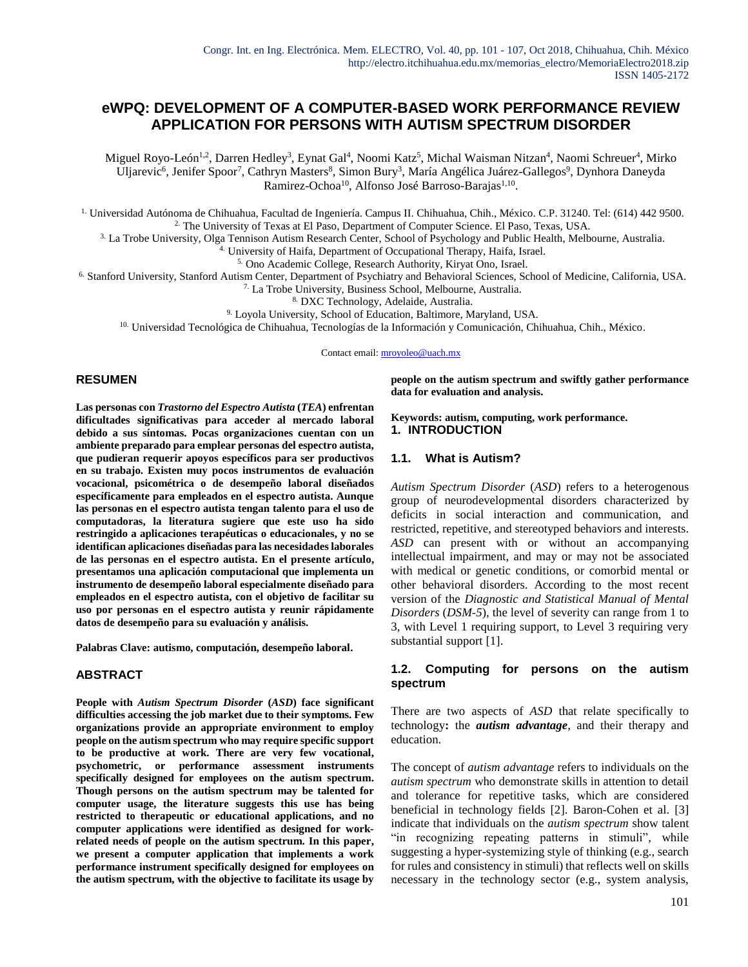# **eWPQ: DEVELOPMENT OF A COMPUTER-BASED WORK PERFORMANCE REVIEW APPLICATION FOR PERSONS WITH AUTISM SPECTRUM DISORDER**

Miguel Royo-León<sup>1,2</sup>, Darren Hedley<sup>3</sup>, Eynat Gal<sup>4</sup>, Noomi Katz<sup>5</sup>, Michal Waisman Nitzan<sup>4</sup>, Naomi Schreuer<sup>4</sup>, Mirko Uljarevic<sup>6</sup>, Jenifer Spoor<sup>7</sup>, Cathryn Masters<sup>8</sup>, Simon Bury<sup>3</sup>, María Angélica Juárez-Gallegos<sup>9</sup>, Dynhora Daneyda Ramirez-Ochoa<sup>10</sup>, Alfonso José Barroso-Barajas<sup>1,10</sup>.

1. Universidad Autónoma de Chihuahua, Facultad de Ingeniería. Campus II. Chihuahua, Chih., México. C.P. 31240. Tel: (614) 442 9500. 2. The University of Texas at El Paso, Department of Computer Science. El Paso, Texas, USA.

3. La Trobe University, Olga Tennison Autism Research Center, School of Psychology and Public Health, Melbourne, Australia.

4. University of Haifa, Department of Occupational Therapy, Haifa, Israel.

5. Ono Academic College, Research Authority, Kiryat Ono, Israel.

6. Stanford University, Stanford Autism Center, Department of Psychiatry and Behavioral Sciences, School of Medicine, California, USA.

7. La Trobe University, Business School, Melbourne, Australia.

8. DXC Technology, Adelaide, Australia.

9. Loyola University, School of Education, Baltimore, Maryland, USA.

<sup>10.</sup> Universidad Tecnológica de Chihuahua, Tecnologías de la Información y Comunicación, Chihuahua, Chih., México.

Contact email: [mroyoleo@uach.mx](mailto:mroyoleo@uach.mx)

#### **RESUMEN**

**Las personas con** *Trastorno del Espectro Autista* **(***TEA***) enfrentan dificultades significativas para acceder al mercado laboral debido a sus síntomas. Pocas organizaciones cuentan con un ambiente preparado para emplear personas del espectro autista, que pudieran requerir apoyos específicos para ser productivos en su trabajo. Existen muy pocos instrumentos de evaluación vocacional, psicométrica o de desempeño laboral diseñados específicamente para empleados en el espectro autista. Aunque las personas en el espectro autista tengan talento para el uso de computadoras, la literatura sugiere que este uso ha sido restringido a aplicaciones terapéuticas o educacionales, y no se identifican aplicaciones diseñadas para las necesidades laborales de las personas en el espectro autista. En el presente artículo, presentamos una aplicación computacional que implementa un instrumento de desempeño laboral especialmente diseñado para empleados en el espectro autista, con el objetivo de facilitar su uso por personas en el espectro autista y reunir rápidamente datos de desempeño para su evaluación y análisis.**

**Palabras Clave: autismo, computación, desempeño laboral.**

#### **ABSTRACT**

**People with** *Autism Spectrum Disorder* **(***ASD***) face significant difficulties accessing the job market due to their symptoms. Few organizations provide an appropriate environment to employ people on the autism spectrum who may require specific support to be productive at work. There are very few vocational, psychometric, or performance assessment instruments specifically designed for employees on the autism spectrum. Though persons on the autism spectrum may be talented for computer usage, the literature suggests this use has being restricted to therapeutic or educational applications, and no computer applications were identified as designed for workrelated needs of people on the autism spectrum. In this paper, we present a computer application that implements a work performance instrument specifically designed for employees on the autism spectrum, with the objective to facilitate its usage by** 

**people on the autism spectrum and swiftly gather performance data for evaluation and analysis.**

#### **Keywords: autism, computing, work performance. 1. INTRODUCTION**

#### **1.1. What is Autism?**

*Autism Spectrum Disorder* (*ASD*) refers to a heterogenous group of neurodevelopmental disorders characterized by deficits in social interaction and communication, and restricted, repetitive, and stereotyped behaviors and interests. *ASD* can present with or without an accompanying intellectual impairment, and may or may not be associated with medical or genetic conditions, or comorbid mental or other behavioral disorders. According to the most recent version of the *Diagnostic and Statistical Manual of Mental Disorders* (*DSM-5*), the level of severity can range from 1 to 3, with Level 1 requiring support, to Level 3 requiring very substantial support [1].

#### **1.2. Computing for persons on the autism spectrum**

There are two aspects of *ASD* that relate specifically to technology**:** the *autism advantage*, and their therapy and education.

The concept of *autism advantage* refers to individuals on the *autism spectrum* who demonstrate skills in attention to detail and tolerance for repetitive tasks, which are considered beneficial in technology fields [2]. Baron-Cohen et al. [3] indicate that individuals on the *autism spectrum* show talent "in recognizing repeating patterns in stimuli", while suggesting a hyper-systemizing style of thinking (e.g., search for rules and consistency in stimuli) that reflects well on skills necessary in the technology sector (e.g., system analysis,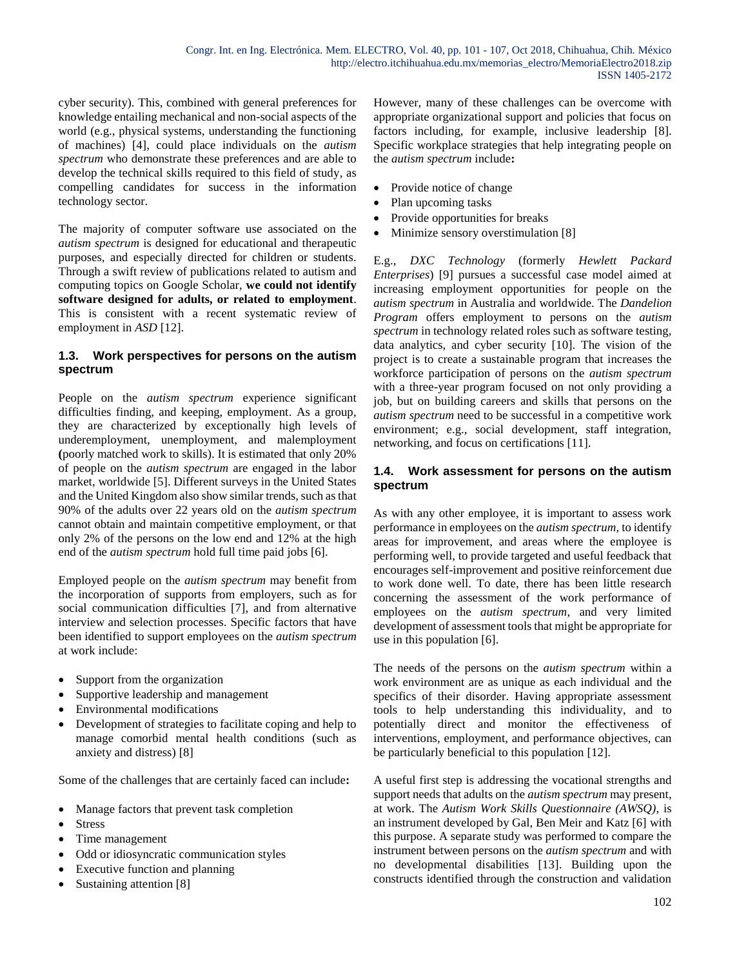cyber security). This, combined with general preferences for knowledge entailing mechanical and non-social aspects of the world (e.g., physical systems, understanding the functioning of machines) [4], could place individuals on the *autism spectrum* who demonstrate these preferences and are able to develop the technical skills required to this field of study, as compelling candidates for success in the information technology sector.

The majority of computer software use associated on the *autism spectrum* is designed for educational and therapeutic purposes, and especially directed for children or students. Through a swift review of publications related to autism and computing topics on Google Scholar, **we could not identify software designed for adults, or related to employment**. This is consistent with a recent systematic review of employment in *ASD* [12].

# **1.3. Work perspectives for persons on the autism spectrum**

People on the *autism spectrum* experience significant difficulties finding, and keeping, employment. As a group, they are characterized by exceptionally high levels of underemployment, unemployment, and malemployment **(**poorly matched work to skills). It is estimated that only 20% of people on the *autism spectrum* are engaged in the labor market, worldwide [5]. Different surveys in the United States and the United Kingdom also show similar trends, such as that 90% of the adults over 22 years old on the *autism spectrum* cannot obtain and maintain competitive employment, or that only 2% of the persons on the low end and 12% at the high end of the *autism spectrum* hold full time paid jobs [6].

Employed people on the *autism spectrum* may benefit from the incorporation of supports from employers, such as for social communication difficulties [7], and from alternative interview and selection processes. Specific factors that have been identified to support employees on the *autism spectrum* at work include:

- Support from the organization
- Supportive leadership and management
- Environmental modifications
- Development of strategies to facilitate coping and help to manage comorbid mental health conditions (such as anxiety and distress) [8]

Some of the challenges that are certainly faced can include**:**

- Manage factors that prevent task completion
- Stress
- Time management
- Odd or idiosyncratic communication styles
- Executive function and planning
- Sustaining attention [8]

However, many of these challenges can be overcome with appropriate organizational support and policies that focus on factors including, for example, inclusive leadership [8]. Specific workplace strategies that help integrating people on the *autism spectrum* include**:**

- Provide notice of change
- Plan upcoming tasks
- Provide opportunities for breaks
- Minimize sensory overstimulation [8]

E.g., *DXC Technology* (formerly *Hewlett Packard Enterprises*) [9] pursues a successful case model aimed at increasing employment opportunities for people on the *autism spectrum* in Australia and worldwide. The *Dandelion Program* offers employment to persons on the *autism spectrum* in technology related roles such as software testing, data analytics, and cyber security [10]. The vision of the project is to create a sustainable program that increases the workforce participation of persons on the *autism spectrum* with a three-year program focused on not only providing a job, but on building careers and skills that persons on the *autism spectrum* need to be successful in a competitive work environment; e.g., social development, staff integration, networking, and focus on certifications [11].

# **1.4. Work assessment for persons on the autism spectrum**

As with any other employee, it is important to assess work performance in employees on the *autism spectrum,* to identify areas for improvement, and areas where the employee is performing well, to provide targeted and useful feedback that encourages self-improvement and positive reinforcement due to work done well. To date, there has been little research concerning the assessment of the work performance of employees on the *autism spectrum*, and very limited development of assessment tools that might be appropriate for use in this population [6].

The needs of the persons on the *autism spectrum* within a work environment are as unique as each individual and the specifics of their disorder. Having appropriate assessment tools to help understanding this individuality, and to potentially direct and monitor the effectiveness of interventions, employment, and performance objectives, can be particularly beneficial to this population [12].

A useful first step is addressing the vocational strengths and support needs that adults on the *autism spectrum* may present, at work. The *Autism Work Skills Questionnaire (AWSQ)*, is an instrument developed by Gal, Ben Meir and Katz [6] with this purpose. A separate study was performed to compare the instrument between persons on the *autism spectrum* and with no developmental disabilities [13]. Building upon the constructs identified through the construction and validation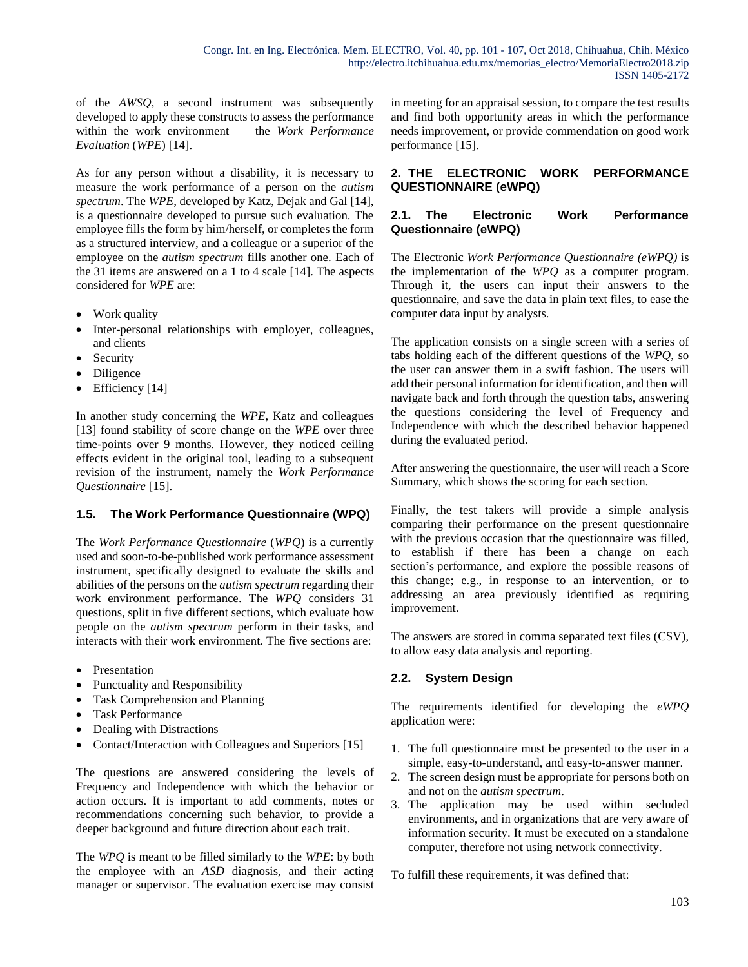of the *AWSQ*, a second instrument was subsequently developed to apply these constructs to assess the performance within the work environment — the *Work Performance Evaluation* (*WPE*) [14].

As for any person without a disability, it is necessary to measure the work performance of a person on the *autism spectrum*. The *WPE*, developed by Katz, Dejak and Gal [14], is a questionnaire developed to pursue such evaluation. The employee fills the form by him/herself, or completes the form as a structured interview, and a colleague or a superior of the employee on the *autism spectrum* fills another one. Each of the 31 items are answered on a 1 to 4 scale [14]. The aspects considered for *WPE* are:

- Work quality
- Inter-personal relationships with employer, colleagues, and clients
- Security
- Diligence
- Efficiency [14]

In another study concerning the *WPE*, Katz and colleagues [13] found stability of score change on the *WPE* over three time-points over 9 months. However, they noticed ceiling effects evident in the original tool, leading to a subsequent revision of the instrument, namely the *Work Performance Questionnaire* [15].

### **1.5. The Work Performance Questionnaire (WPQ)**

The *Work Performance Questionnaire* (*WPQ*) is a currently used and soon-to-be-published work performance assessment instrument, specifically designed to evaluate the skills and abilities of the persons on the *autism spectrum* regarding their work environment performance. The *WPQ* considers 31 questions, split in five different sections, which evaluate how people on the *autism spectrum* perform in their tasks, and interacts with their work environment. The five sections are:

- Presentation
- Punctuality and Responsibility
- Task Comprehension and Planning
- Task Performance
- Dealing with Distractions
- Contact/Interaction with Colleagues and Superiors [15]

The questions are answered considering the levels of Frequency and Independence with which the behavior or action occurs. It is important to add comments, notes or recommendations concerning such behavior, to provide a deeper background and future direction about each trait.

The *WPQ* is meant to be filled similarly to the *WPE*: by both the employee with an *ASD* diagnosis, and their acting manager or supervisor. The evaluation exercise may consist

in meeting for an appraisal session, to compare the test results and find both opportunity areas in which the performance needs improvement, or provide commendation on good work performance [15].

### **2. THE ELECTRONIC WORK PERFORMANCE QUESTIONNAIRE (eWPQ)**

#### **2.1. The Electronic Work Performance Questionnaire (eWPQ)**

The Electronic *Work Performance Questionnaire (eWPQ)* is the implementation of the *WPQ* as a computer program. Through it, the users can input their answers to the questionnaire, and save the data in plain text files, to ease the computer data input by analysts.

The application consists on a single screen with a series of tabs holding each of the different questions of the *WPQ*, so the user can answer them in a swift fashion. The users will add their personal information for identification, and then will navigate back and forth through the question tabs, answering the questions considering the level of Frequency and Independence with which the described behavior happened during the evaluated period.

After answering the questionnaire, the user will reach a Score Summary, which shows the scoring for each section.

Finally, the test takers will provide a simple analysis comparing their performance on the present questionnaire with the previous occasion that the questionnaire was filled, to establish if there has been a change on each section's performance, and explore the possible reasons of this change; e.g., in response to an intervention, or to addressing an area previously identified as requiring improvement.

The answers are stored in comma separated text files (CSV), to allow easy data analysis and reporting.

### **2.2. System Design**

The requirements identified for developing the *eWPQ* application were:

- 1. The full questionnaire must be presented to the user in a simple, easy-to-understand, and easy-to-answer manner.
- 2. The screen design must be appropriate for persons both on and not on the *autism spectrum*.
- 3. The application may be used within secluded environments, and in organizations that are very aware of information security. It must be executed on a standalone computer, therefore not using network connectivity.

To fulfill these requirements, it was defined that: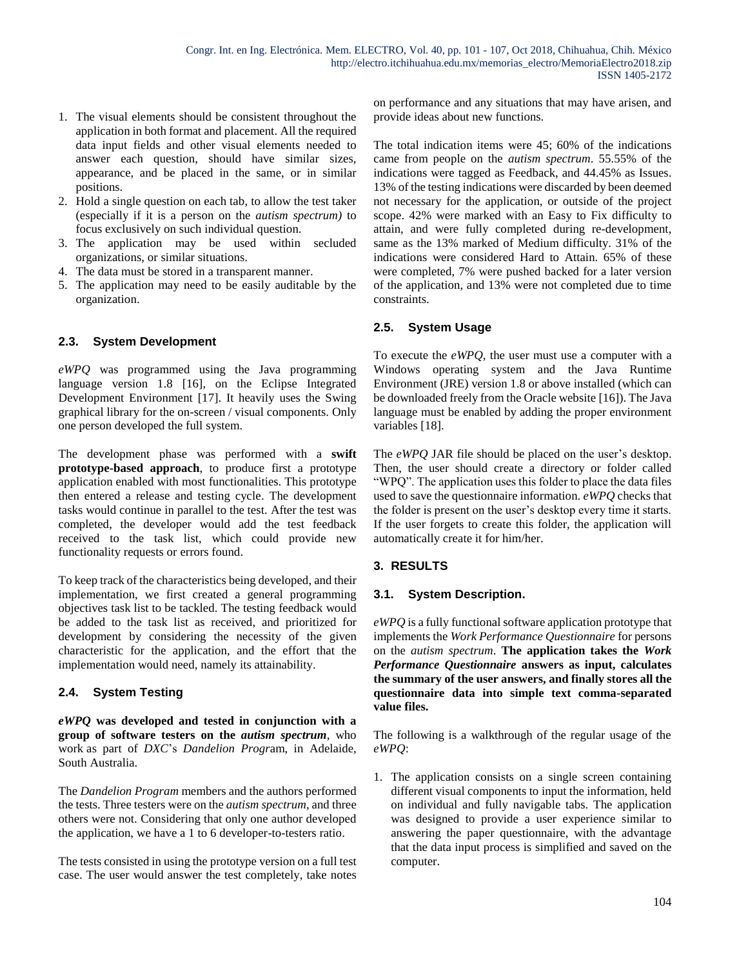- 1. The visual elements should be consistent throughout the application in both format and placement. All the required data input fields and other visual elements needed to answer each question, should have similar sizes, appearance, and be placed in the same, or in similar positions.
- 2. Hold a single question on each tab, to allow the test taker (especially if it is a person on the *autism spectrum)* to focus exclusively on such individual question.
- 3. The application may be used within secluded organizations, or similar situations.
- 4. The data must be stored in a transparent manner.
- 5. The application may need to be easily auditable by the organization.

### **2.3. System Development**

*eWPQ* was programmed using the Java programming language version 1.8 [16], on the Eclipse Integrated Development Environment [17]. It heavily uses the Swing graphical library for the on-screen / visual components. Only one person developed the full system.

The development phase was performed with a **swift prototype-based approach**, to produce first a prototype application enabled with most functionalities. This prototype then entered a release and testing cycle. The development tasks would continue in parallel to the test. After the test was completed, the developer would add the test feedback received to the task list, which could provide new functionality requests or errors found.

To keep track of the characteristics being developed, and their implementation, we first created a general programming objectives task list to be tackled. The testing feedback would be added to the task list as received, and prioritized for development by considering the necessity of the given characteristic for the application, and the effort that the implementation would need, namely its attainability.

### **2.4. System Testing**

*eWPQ* **was developed and tested in conjunction with a group of software testers on the** *autism spectrum*, who work as part of *DXC*'s *Dandelion Progr*am, in Adelaide, South Australia.

The *Dandelion Program* members and the authors performed the tests. Three testers were on the *autism spectrum*, and three others were not. Considering that only one author developed the application, we have a 1 to 6 developer-to-testers ratio.

The tests consisted in using the prototype version on a full test case. The user would answer the test completely, take notes on performance and any situations that may have arisen, and provide ideas about new functions.

The total indication items were 45; 60% of the indications came from people on the *autism spectrum*. 55.55% of the indications were tagged as Feedback, and 44.45% as Issues. 13% of the testing indications were discarded by been deemed not necessary for the application, or outside of the project scope. 42% were marked with an Easy to Fix difficulty to attain, and were fully completed during re-development, same as the 13% marked of Medium difficulty. 31% of the indications were considered Hard to Attain. 65% of these were completed, 7% were pushed backed for a later version of the application, and 13% were not completed due to time constraints.

# **2.5. System Usage**

To execute the *eWPQ*, the user must use a computer with a Windows operating system and the Java Runtime Environment (JRE) version 1.8 or above installed (which can be downloaded freely from the Oracle website [16]). The Java language must be enabled by adding the proper environment variables [18].

The *eWPQ* JAR file should be placed on the user's desktop. Then, the user should create a directory or folder called "WPQ". The application uses this folder to place the data files used to save the questionnaire information. *eWPQ* checks that the folder is present on the user's desktop every time it starts. If the user forgets to create this folder, the application will automatically create it for him/her.

### **3. RESULTS**

### **3.1. System Description.**

*eWPQ* is a fully functional software application prototype that implements the *Work Performance Questionnaire* for persons on the *autism spectrum*. **The application takes the** *Work Performance Questionnaire* **answers as input, calculates the summary of the user answers, and finally stores all the questionnaire data into simple text comma-separated value files.**

The following is a walkthrough of the regular usage of the *eWPQ*:

1. The application consists on a single screen containing different visual components to input the information, held on individual and fully navigable tabs. The application was designed to provide a user experience similar to answering the paper questionnaire, with the advantage that the data input process is simplified and saved on the computer.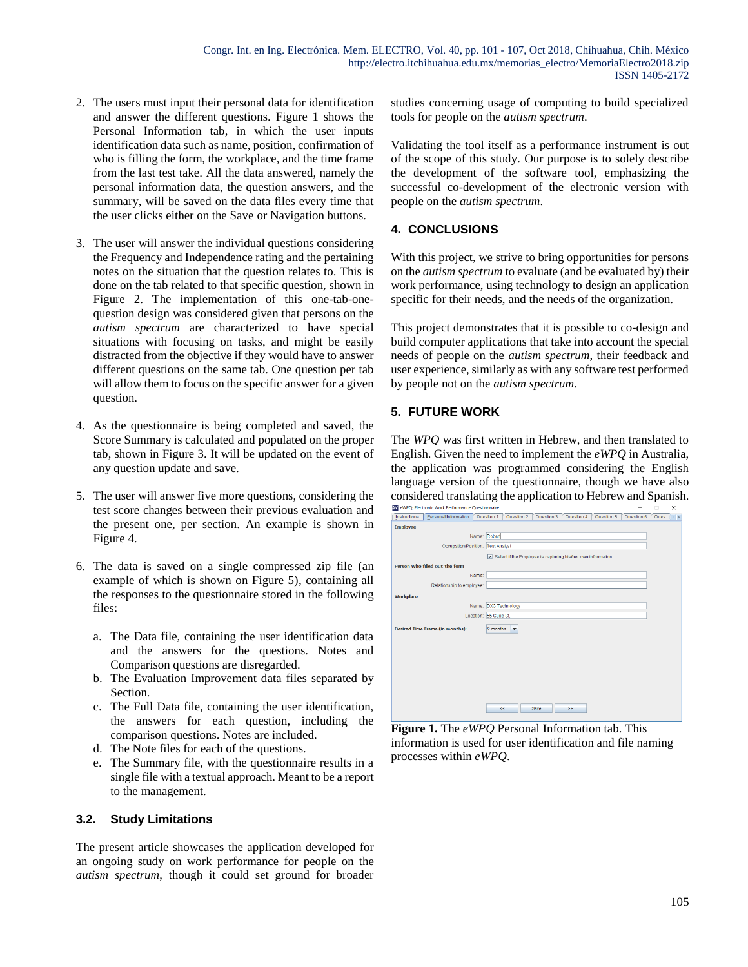- 2. The users must input their personal data for identification and answer the different questions. Figure 1 shows the Personal Information tab, in which the user inputs identification data such as name, position, confirmation of who is filling the form, the workplace, and the time frame from the last test take. All the data answered, namely the personal information data, the question answers, and the summary, will be saved on the data files every time that the user clicks either on the Save or Navigation buttons.
- 3. The user will answer the individual questions considering the Frequency and Independence rating and the pertaining notes on the situation that the question relates to. This is done on the tab related to that specific question, shown in Figure 2. The implementation of this one-tab-onequestion design was considered given that persons on the *autism spectrum* are characterized to have special situations with focusing on tasks, and might be easily distracted from the objective if they would have to answer different questions on the same tab. One question per tab will allow them to focus on the specific answer for a given question.
- 4. As the questionnaire is being completed and saved, the Score Summary is calculated and populated on the proper tab, shown in Figure 3. It will be updated on the event of any question update and save.
- 5. The user will answer five more questions, considering the test score changes between their previous evaluation and the present one, per section. An example is shown in Figure 4.
- 6. The data is saved on a single compressed zip file (an example of which is shown on Figure 5), containing all the responses to the questionnaire stored in the following files:
	- a. The Data file, containing the user identification data and the answers for the questions. Notes and Comparison questions are disregarded.
	- b. The Evaluation Improvement data files separated by Section.
	- c. The Full Data file, containing the user identification, the answers for each question, including the comparison questions. Notes are included.
	- d. The Note files for each of the questions.
	- e. The Summary file, with the questionnaire results in a single file with a textual approach. Meant to be a report to the management.

### **3.2. Study Limitations**

The present article showcases the application developed for an ongoing study on work performance for people on the *autism spectrum*, though it could set ground for broader studies concerning usage of computing to build specialized tools for people on the *autism spectrum*.

Validating the tool itself as a performance instrument is out of the scope of this study. Our purpose is to solely describe the development of the software tool, emphasizing the successful co-development of the electronic version with people on the *autism spectrum*.

#### **4. CONCLUSIONS**

With this project, we strive to bring opportunities for persons on the *autism spectrum* to evaluate (and be evaluated by) their work performance, using technology to design an application specific for their needs, and the needs of the organization.

This project demonstrates that it is possible to co-design and build computer applications that take into account the special needs of people on the *autism spectrum*, their feedback and user experience, similarly as with any software test performed by people not on the *autism spectrum*.

# **5. FUTURE WORK**

The *WPQ* was first written in Hebrew, and then translated to English. Given the need to implement the *eWPQ* in Australia, the application was programmed considering the English language version of the questionnaire, though we have also considered translating the application to Hebrew and Spanish.

|                 | W eWPQ: Electronic Work Performance Questionnaire |                        |            |             |                                                              |            |            | п           | $\times$ |
|-----------------|---------------------------------------------------|------------------------|------------|-------------|--------------------------------------------------------------|------------|------------|-------------|----------|
| Instructions    | Personal Information                              | Question 1             | Question 2 | Question 3  | Question 4                                                   | Question 5 | Question 6 | Ques $    $ |          |
| <b>Employee</b> |                                                   |                        |            |             |                                                              |            |            |             |          |
|                 |                                                   | Name: Robert           |            |             |                                                              |            |            |             |          |
|                 | Occupation/Position: Test Analyst                 |                        |            |             |                                                              |            |            |             |          |
|                 |                                                   |                        |            |             | Select if the Employee is capturing his/her own information. |            |            |             |          |
|                 | Person who filled out the form                    |                        |            |             |                                                              |            |            |             |          |
|                 |                                                   | Name:                  |            |             |                                                              |            |            |             |          |
|                 | Relationship to employee:                         |                        |            |             |                                                              |            |            |             |          |
|                 |                                                   |                        |            |             |                                                              |            |            |             |          |
| Workplace       |                                                   |                        |            |             |                                                              |            |            |             |          |
|                 |                                                   | Name: DXC Technology   |            |             |                                                              |            |            |             |          |
|                 |                                                   | Location: 55 Curie St. |            |             |                                                              |            |            |             |          |
|                 | Desired Time Frame (in months):                   | 2 months               | ۰          |             |                                                              |            |            |             |          |
|                 |                                                   |                        |            |             |                                                              |            |            |             |          |
|                 |                                                   |                        |            |             |                                                              |            |            |             |          |
|                 |                                                   |                        |            |             |                                                              |            |            |             |          |
|                 |                                                   |                        |            |             |                                                              |            |            |             |          |
|                 |                                                   |                        |            |             |                                                              |            |            |             |          |
|                 |                                                   |                        |            |             |                                                              |            |            |             |          |
|                 |                                                   |                        |            |             |                                                              |            |            |             |          |
|                 |                                                   |                        |            |             |                                                              |            |            |             |          |
|                 |                                                   |                        | ee.        | <b>Save</b> | 22                                                           |            |            |             |          |
|                 |                                                   |                        |            |             |                                                              |            |            |             |          |

**Figure 1.** The *eWPQ* Personal Information tab. This information is used for user identification and file naming processes within *eWPQ*.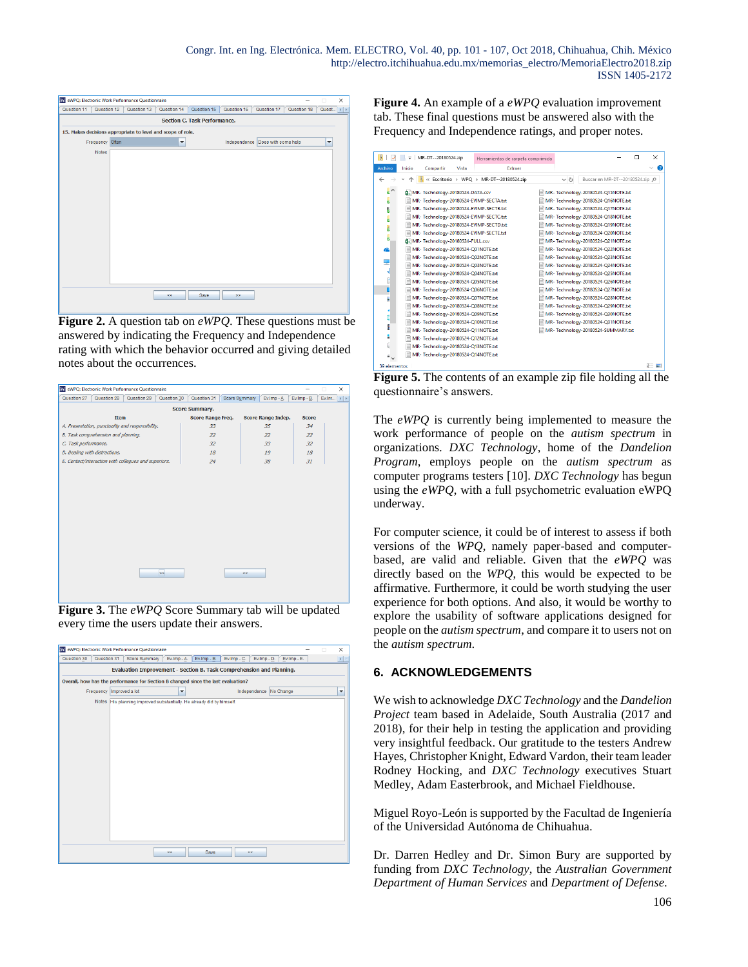|                                     |                 | W eWPQ: Electronic Work Performance Questionnaire           |             |             |                                  |             | -           | $\Box$               | × |  |
|-------------------------------------|-----------------|-------------------------------------------------------------|-------------|-------------|----------------------------------|-------------|-------------|----------------------|---|--|
| Question 11                         | Question 12     | Question 13                                                 | Question 14 | Question 15 | Question 16                      | Question 17 | Question 18 | Quest   4   F        |   |  |
| <b>Section C. Task Performance.</b> |                 |                                                             |             |             |                                  |             |             |                      |   |  |
|                                     |                 | 15. Makes decisions appropriate to level and scope of role. |             |             |                                  |             |             |                      |   |  |
|                                     | Frequency Often |                                                             | ۳           |             | Independence Does with some help |             |             | $\blacktriangledown$ |   |  |
|                                     | <b>Notes</b>    |                                                             |             |             |                                  |             |             |                      |   |  |
|                                     |                 |                                                             |             |             |                                  |             |             |                      |   |  |
|                                     |                 |                                                             |             |             |                                  |             |             |                      |   |  |
|                                     |                 |                                                             |             |             |                                  |             |             |                      |   |  |
|                                     |                 |                                                             |             |             |                                  |             |             |                      |   |  |
|                                     |                 |                                                             |             |             |                                  |             |             |                      |   |  |
|                                     |                 |                                                             |             |             |                                  |             |             |                      |   |  |
|                                     |                 |                                                             |             |             |                                  |             |             |                      |   |  |
|                                     |                 |                                                             |             |             |                                  |             |             |                      |   |  |
|                                     |                 |                                                             |             |             |                                  |             |             |                      |   |  |
|                                     |                 |                                                             |             |             |                                  |             |             |                      |   |  |
|                                     |                 |                                                             |             |             |                                  |             |             |                      |   |  |
|                                     |                 |                                                             |             |             |                                  |             |             |                      |   |  |
|                                     |                 |                                                             |             |             |                                  |             |             |                      |   |  |
|                                     |                 |                                                             | $\ll$       | Save        | $>$                              |             |             |                      |   |  |
|                                     |                 |                                                             |             |             |                                  |             |             |                      |   |  |

**Figure 2.** A question tab on *eWPQ*. These questions must be answered by indicating the Frequency and Independence rating with which the behavior occurred and giving detailed notes about the occurrences.

| W eWPQ: Electronic Work Performance Questionnaire        |                          |                       |                    |              | □ | × |  |  |  |  |
|----------------------------------------------------------|--------------------------|-----------------------|--------------------|--------------|---|---|--|--|--|--|
| Question 28<br>Question 29<br>Question 30<br>Question 27 | Ev.Imp - B.              | Ev.Im $\langle 1   1$ |                    |              |   |   |  |  |  |  |
| <b>Score Summary.</b>                                    |                          |                       |                    |              |   |   |  |  |  |  |
| <b>Item</b>                                              | <b>Score Range Freq.</b> |                       | Score Range Indep. | <b>Score</b> |   |   |  |  |  |  |
| A. Presentation, punctuality and responsibility.         | 33                       |                       | 35                 | 34           |   |   |  |  |  |  |
| B. Task comprehension and planning.                      | 22                       |                       | 22                 | 22           |   |   |  |  |  |  |
| C. Task performance.                                     | 32                       |                       | 33                 | 32           |   |   |  |  |  |  |
| D. Dealing with distractions.                            | 18                       |                       | 19                 | 18           |   |   |  |  |  |  |
| E. Contact/interaction with collegues and superiors.     | 24                       |                       | 38                 | 31           |   |   |  |  |  |  |
|                                                          |                          |                       |                    |              |   |   |  |  |  |  |
|                                                          |                          |                       |                    |              |   |   |  |  |  |  |
|                                                          |                          |                       |                    |              |   |   |  |  |  |  |
|                                                          |                          |                       |                    |              |   |   |  |  |  |  |
|                                                          |                          |                       |                    |              |   |   |  |  |  |  |
|                                                          |                          |                       |                    |              |   |   |  |  |  |  |
|                                                          |                          |                       |                    |              |   |   |  |  |  |  |
|                                                          |                          |                       |                    |              |   |   |  |  |  |  |
|                                                          |                          |                       |                    |              |   |   |  |  |  |  |
|                                                          |                          |                       |                    |              |   |   |  |  |  |  |
|                                                          |                          |                       |                    |              |   |   |  |  |  |  |
| ke.                                                      |                          | $\geq$                |                    |              |   |   |  |  |  |  |
|                                                          |                          |                       |                    |              |   |   |  |  |  |  |
|                                                          |                          |                       |                    |              |   |   |  |  |  |  |
|                                                          |                          |                       |                    |              |   |   |  |  |  |  |

**Figure 3.** The *eWPQ* Score Summary tab will be updated every time the users update their answers.

|             |                          | W eWPQ: Electronic Work Performance Questionnaire                                 |   |                             |             |                  |                        | п | $\times$ |
|-------------|--------------------------|-----------------------------------------------------------------------------------|---|-----------------------------|-------------|------------------|------------------------|---|----------|
| Question 30 | Question 31              | Score Summary                                                                     |   | $Ev.lmp - A$ $Ev.lmp - B$ . | Ev.Imp - C. | $Ev.$ Imp - $D.$ | Ev.Imp - E.            |   | ⊣        |
|             |                          | Evaluation Improvement - Section B. Task Comprehension and Planning.              |   |                             |             |                  |                        |   |          |
|             |                          | Overall, how has the performance for Section B changed since the last evaluation? |   |                             |             |                  |                        |   |          |
|             | Frequency Improved a lot |                                                                                   | ۰ |                             |             |                  | Independence No Change |   | ٠        |
|             |                          | Notes His planning improved substantially. He already did by himself.             |   |                             |             |                  |                        |   |          |
|             |                          |                                                                                   |   |                             |             |                  |                        |   |          |
|             |                          |                                                                                   |   |                             |             |                  |                        |   |          |
|             |                          |                                                                                   |   |                             |             |                  |                        |   |          |
|             |                          |                                                                                   |   |                             |             |                  |                        |   |          |
|             |                          |                                                                                   |   |                             |             |                  |                        |   |          |
|             |                          |                                                                                   |   |                             |             |                  |                        |   |          |
|             |                          |                                                                                   |   |                             |             |                  |                        |   |          |
|             |                          |                                                                                   |   |                             |             |                  |                        |   |          |
|             |                          |                                                                                   |   |                             |             |                  |                        |   |          |
|             |                          |                                                                                   |   |                             |             |                  |                        |   |          |
|             |                          |                                                                                   |   |                             |             |                  |                        |   |          |
|             |                          |                                                                                   |   |                             |             |                  |                        |   |          |
|             |                          |                                                                                   |   |                             |             |                  |                        |   |          |
|             |                          |                                                                                   |   |                             |             |                  |                        |   |          |
|             |                          |                                                                                   |   |                             |             |                  |                        |   |          |
|             |                          |                                                                                   | œ | Save                        |             | 22               |                        |   |          |

**Figure 4.** An example of a *eWPQ* evaluation improvement tab. These final questions must be answered also with the Frequency and Independence ratings, and proper notes.

| ų,           | MR-DT--20180524.zip<br>$\overline{\phantom{a}}$ | Herramientas de carpeta comprimida       |          |                                     | п<br>$\times$ |
|--------------|-------------------------------------------------|------------------------------------------|----------|-------------------------------------|---------------|
| Archivo      | Inicio<br>Compartir<br>Vista                    | Extraer                                  |          |                                     | Œ             |
| ←            |                                                 | « Escritorio » WPQ » MR-DT--20180524.zip | $\sim$ 0 | Buscar en MR-DT--20180524.zip @     |               |
| $\wedge$     | 自 MR- Technology-20180524-DATA.csv              |                                          |          | MR-Technology-20180524-Q15NOTE.txt  |               |
| ø            | MR- Technology-20180524-EVIMP-SECTA.txt         |                                          |          | MR-Technology-20180524-Q16NOTE.txt  |               |
| B            | MR-Technology-20180524-EVIMP-SECTB.txt          |                                          |          | MR-Technology-20180524-Q17NOTE.txt  |               |
| ė            | MR-Technology-20180524-EVIMP-SECTC.txt          |                                          |          | MR-Technology-20180524-Q18NOTE.txt  |               |
| Į            | MR- Technology-20180524-EVIMP-SECTD.txt         |                                          |          | MR-Technology-20180524-Q19NOTE.txt  |               |
|              | MR-Technology-20180524-EVIMP-SECTE.txt          |                                          |          | MR-Technology-20180524-Q20NOTE.txt  |               |
| ċ            | 自 MR- Technology-20180524-FULL.csv              |                                          |          | MR-Technology-20180524-Q21NOTE.txt  |               |
| e            | MR-Technology-20180524-Q01NOTE.txt              |                                          |          | MR-Technology-20180524-Q22NOTE.txt  |               |
|              | MR-Technology-20180524-Q02NOTE.txt              |                                          |          | MR-Technology-20180524-Q23NOTE.txt  |               |
|              | MR-Technology-20180524-Q03NOTE.txt              |                                          |          | MR-Technology-20180524-Q24NOTE.txt  |               |
|              | MR-Technology-20180524-Q04NOTE.txt              |                                          |          | MR-Technology-20180524-Q25NOTE.txt  |               |
| l            | MR-Technology-20180524-Q05NOTE.txt              |                                          |          | MR-Technology-20180524-Q26NOTE.txt  |               |
| L            | MR-Technology-20180524-Q06NOTE.txt              |                                          |          | MR-Technology-20180524-Q27NOTE.txt  |               |
|              | MR-Technology-20180524-Q07NOTE.txt              |                                          |          | MR-Technology-20180524-Q28NOTE.txt  |               |
|              | MR- Technology-20180524-Q08NOTE.txt             |                                          |          | MR-Technology-20180524-Q29NOTE.txt  |               |
|              | MR-Technology-20180524-Q09NOTE.txt              |                                          |          | MR-Technology-20180524-Q30NOTE.txt  |               |
|              | MR-Technology-20180524-Q10NOTE.txt              |                                          |          | MR-Technology-20180524-Q31NOTE.txt  |               |
| ŧ            | MR- Technology-20180524-Q11NOTE.txt             |                                          |          | MR- Technology-20180524-SUMMARY.txt |               |
| ä            | MR-Technology-20180524-Q12NOTE.txt              |                                          |          |                                     |               |
|              | MR-Technology-20180524-Q13NOTE.txt              |                                          |          |                                     |               |
|              | MR-Technology-20180524-Q14NOTE.txt              |                                          |          |                                     |               |
| 39 elementos |                                                 |                                          |          |                                     | 胆 国           |

**Figure 5.** The contents of an example zip file holding all the questionnaire's answers.

The *eWPQ* is currently being implemented to measure the work performance of people on the *autism spectrum* in organizations. *DXC Technology*, home of the *Dandelion Program*, employs people on the *autism spectrum* as computer programs testers [10]. *DXC Technology* has begun using the *eWPQ*, with a full psychometric evaluation eWPQ underway.

For computer science, it could be of interest to assess if both versions of the *WPQ*, namely paper-based and computerbased, are valid and reliable. Given that the *eWPQ* was directly based on the *WPQ*, this would be expected to be affirmative. Furthermore, it could be worth studying the user experience for both options. And also, it would be worthy to explore the usability of software applications designed for people on the *autism spectrum*, and compare it to users not on the *autism spectrum*.

### **6. ACKNOWLEDGEMENTS**

We wish to acknowledge *DXC Technology* and the *Dandelion Project* team based in Adelaide, South Australia (2017 and 2018), for their help in testing the application and providing very insightful feedback. Our gratitude to the testers Andrew Hayes, Christopher Knight, Edward Vardon, their team leader Rodney Hocking, and *DXC Technology* executives Stuart Medley, Adam Easterbrook, and Michael Fieldhouse.

Miguel Royo-León is supported by the Facultad de Ingeniería of the Universidad Autónoma de Chihuahua.

Dr. Darren Hedley and Dr. Simon Bury are supported by funding from *DXC Technology*, the *Australian Government Department of Human Services* and *Department of Defense*.